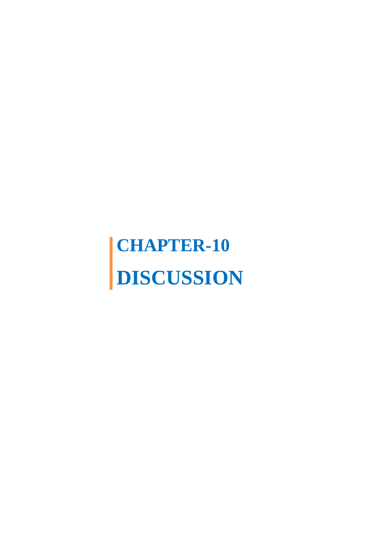## **CHAPTER-10 DISCUSSION**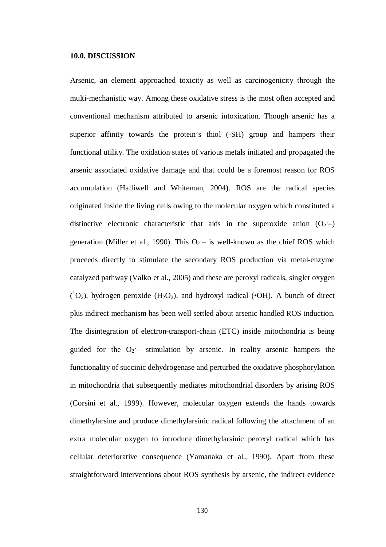## **10.0. DISCUSSION**

Arsenic, an element approached toxicity as well as carcinogenicity through the multi-mechanistic way. Among these oxidative stress is the most often accepted and conventional mechanism attributed to arsenic intoxication. Though arsenic has a superior affinity towards the protein's thiol (-SH) group and hampers their functional utility. The oxidation states of various metals initiated and propagated the arsenic associated oxidative damage and that could be a foremost reason for ROS accumulation (Halliwell and Whiteman, 2004). ROS are the radical species originated inside the living cells owing to the molecular oxygen which constituted a distinctive electronic characteristic that aids in the superoxide anion  $(O_2)$ . generation (Miller et al., 1990). This  $O_2$  – is well-known as the chief ROS which proceeds directly to stimulate the secondary ROS production via metal-enzyme catalyzed pathway (Valko et al., 2005) and these are peroxyl radicals, singlet oxygen  $({}^{1}O_{2})$ , hydrogen peroxide (H<sub>2</sub>O<sub>2</sub>), and hydroxyl radical (•OH). A bunch of direct plus indirect mechanism has been well settled about arsenic handled ROS induction. The disintegration of electron-transport-chain (ETC) inside mitochondria is being guided for the  $O_2$  - stimulation by arsenic. In reality arsenic hampers the functionality of succinic dehydrogenase and perturbed the oxidative phosphorylation in mitochondria that subsequently mediates mitochondrial disorders by arising ROS (Corsini et al., 1999). However, molecular oxygen extends the hands towards dimethylarsine and produce dimethylarsinic radical following the attachment of an extra molecular oxygen to introduce dimethylarsinic peroxyl radical which has cellular deteriorative consequence (Yamanaka et al., 1990). Apart from these straightforward interventions about ROS synthesis by arsenic, the indirect evidence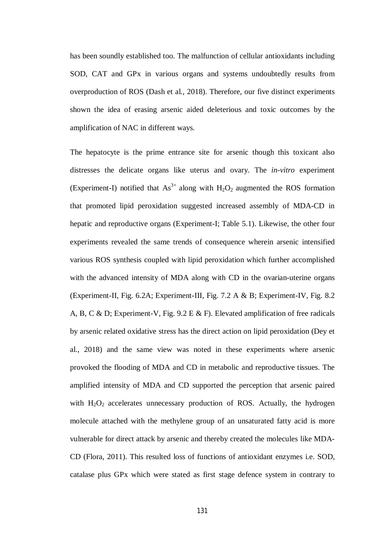has been soundly established too. The malfunction of cellular antioxidants including SOD, CAT and GPx in various organs and systems undoubtedly results from overproduction of ROS (Dash et al., 2018). Therefore, our five distinct experiments shown the idea of erasing arsenic aided deleterious and toxic outcomes by the amplification of NAC in different ways.

The hepatocyte is the prime entrance site for arsenic though this toxicant also distresses the delicate organs like uterus and ovary. The *in-vitro* experiment (Experiment-I) notified that  $As^{3+}$  along with  $H_2O_2$  augmented the ROS formation that promoted lipid peroxidation suggested increased assembly of MDA-CD in hepatic and reproductive organs (Experiment-I; Table 5.1). Likewise, the other four experiments revealed the same trends of consequence wherein arsenic intensified various ROS synthesis coupled with lipid peroxidation which further accomplished with the advanced intensity of MDA along with CD in the ovarian-uterine organs (Experiment-II, Fig. 6.2A; Experiment-III, Fig. 7.2 A & B; Experiment-IV, Fig. 8.2 A, B, C & D; Experiment-V, Fig. 9.2 E & F). Elevated amplification of free radicals by arsenic related oxidative stress has the direct action on lipid peroxidation (Dey et al., 2018) and the same view was noted in these experiments where arsenic provoked the flooding of MDA and CD in metabolic and reproductive tissues. The amplified intensity of MDA and CD supported the perception that arsenic paired with  $H_2O_2$  accelerates unnecessary production of ROS. Actually, the hydrogen molecule attached with the methylene group of an unsaturated fatty acid is more vulnerable for direct attack by arsenic and thereby created the molecules like MDA-CD (Flora, 2011). This resulted loss of functions of antioxidant enzymes i.e. SOD, catalase plus GPx which were stated as first stage defence system in contrary to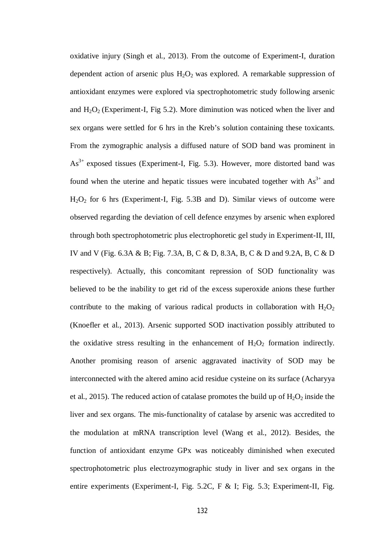oxidative injury (Singh et al., 2013). From the outcome of Experiment-I, duration dependent action of arsenic plus  $H_2O_2$  was explored. A remarkable suppression of antioxidant enzymes were explored via spectrophotometric study following arsenic and  $H_2O_2$  (Experiment-I, Fig 5.2). More diminution was noticed when the liver and sex organs were settled for 6 hrs in the Kreb's solution containing these toxicants. From the zymographic analysis a diffused nature of SOD band was prominent in  $As<sup>3+</sup>$  exposed tissues (Experiment-I, Fig. 5.3). However, more distorted band was found when the uterine and hepatic tissues were incubated together with  $As<sup>3+</sup>$  and H2O<sup>2</sup> for 6 hrs (Experiment-I, Fig. 5.3B and D). Similar views of outcome were observed regarding the deviation of cell defence enzymes by arsenic when explored through both spectrophotometric plus electrophoretic gel study in Experiment-II, III, IV and V (Fig. 6.3A & B; Fig. 7.3A, B, C & D, 8.3A, B, C & D and 9.2A, B, C & D respectively). Actually, this concomitant repression of SOD functionality was believed to be the inability to get rid of the excess superoxide anions these further contribute to the making of various radical products in collaboration with  $H_2O_2$ (Knoefler et al., 2013). Arsenic supported SOD inactivation possibly attributed to the oxidative stress resulting in the enhancement of  $H_2O_2$  formation indirectly. Another promising reason of arsenic aggravated inactivity of SOD may be interconnected with the altered amino acid residue cysteine on its surface (Acharyya et al., 2015). The reduced action of catalase promotes the build up of  $H_2O_2$  inside the liver and sex organs. The mis-functionality of catalase by arsenic was accredited to the modulation at mRNA transcription level (Wang et al., 2012). Besides, the function of antioxidant enzyme GPx was noticeably diminished when executed spectrophotometric plus electrozymographic study in liver and sex organs in the entire experiments (Experiment-I, Fig. 5.2C, F & I; Fig. 5.3; Experiment-II, Fig.

132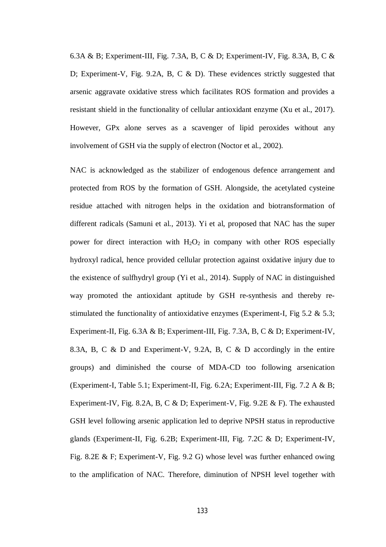6.3A & B; Experiment-III, Fig. 7.3A, B, C & D; Experiment-IV, Fig. 8.3A, B, C & D; Experiment-V, Fig. 9.2A, B, C & D). These evidences strictly suggested that arsenic aggravate oxidative stress which facilitates ROS formation and provides a resistant shield in the functionality of cellular antioxidant enzyme (Xu et al., 2017). However, GPx alone serves as a scavenger of lipid peroxides without any involvement of GSH via the supply of electron (Noctor et al., 2002).

NAC is acknowledged as the stabilizer of endogenous defence arrangement and protected from ROS by the formation of GSH. Alongside, the acetylated cysteine residue attached with nitrogen helps in the oxidation and biotransformation of different radicals (Samuni et al., 2013). Yi et al, proposed that NAC has the super power for direct interaction with  $H_2O_2$  in company with other ROS especially hydroxyl radical, hence provided cellular protection against oxidative injury due to the existence of sulfhydryl group (Yi et al., 2014). Supply of NAC in distinguished way promoted the antioxidant aptitude by GSH re-synthesis and thereby restimulated the functionality of antioxidative enzymes (Experiment-I, Fig 5.2 & 5.3; Experiment-II, Fig. 6.3A & B; Experiment-III, Fig. 7.3A, B, C & D; Experiment-IV, 8.3A, B, C & D and Experiment-V, 9.2A, B, C & D accordingly in the entire groups) and diminished the course of MDA-CD too following arsenication (Experiment-I, Table 5.1; Experiment-II, Fig. 6.2A; Experiment-III, Fig. 7.2 A & B; Experiment-IV, Fig. 8.2A, B, C & D; Experiment-V, Fig. 9.2E & F). The exhausted GSH level following arsenic application led to deprive NPSH status in reproductive glands (Experiment-II, Fig. 6.2B; Experiment-III, Fig. 7.2C & D; Experiment-IV, Fig. 8.2E & F; Experiment-V, Fig. 9.2 G) whose level was further enhanced owing to the amplification of NAC. Therefore, diminution of NPSH level together with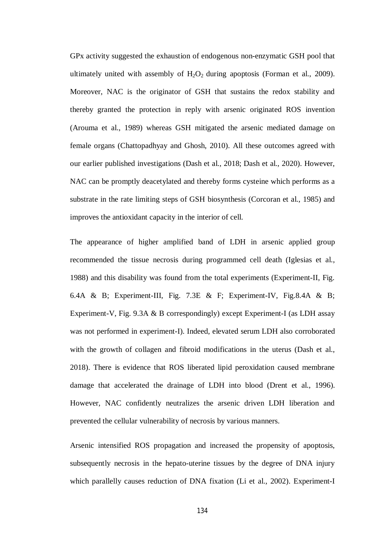GPx activity suggested the exhaustion of endogenous non-enzymatic GSH pool that ultimately united with assembly of  $H_2O_2$  during apoptosis (Forman et al., 2009). Moreover, NAC is the originator of GSH that sustains the redox stability and thereby granted the protection in reply with arsenic originated ROS invention (Arouma et al., 1989) whereas GSH mitigated the arsenic mediated damage on female organs (Chattopadhyay and Ghosh, 2010). All these outcomes agreed with our earlier published investigations (Dash et al., 2018; Dash et al., 2020). However, NAC can be promptly deacetylated and thereby forms cysteine which performs as a substrate in the rate limiting steps of GSH biosynthesis (Corcoran et al., 1985) and improves the antioxidant capacity in the interior of cell.

The appearance of higher amplified band of LDH in arsenic applied group recommended the tissue necrosis during programmed cell death (Iglesias et al., 1988) and this disability was found from the total experiments (Experiment-II, Fig. 6.4A & B; Experiment-III, Fig. 7.3E & F; Experiment-IV, Fig.8.4A & B; Experiment-V, Fig. 9.3A & B correspondingly) except Experiment-I (as LDH assay was not performed in experiment-I). Indeed, elevated serum LDH also corroborated with the growth of collagen and fibroid modifications in the uterus (Dash et al., 2018). There is evidence that ROS liberated lipid peroxidation caused membrane damage that accelerated the drainage of LDH into blood (Drent et al., 1996). However, NAC confidently neutralizes the arsenic driven LDH liberation and prevented the cellular vulnerability of necrosis by various manners.

Arsenic intensified ROS propagation and increased the propensity of apoptosis, subsequently necrosis in the hepato-uterine tissues by the degree of DNA injury which parallelly causes reduction of DNA fixation (Li et al., 2002). Experiment-I

134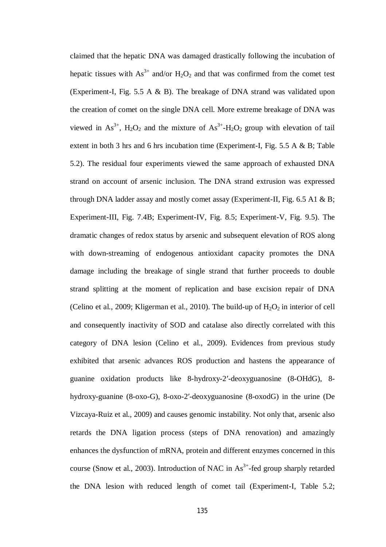claimed that the hepatic DNA was damaged drastically following the incubation of hepatic tissues with  $As^{3+}$  and/or  $H_2O_2$  and that was confirmed from the comet test (Experiment-I, Fig. 5.5 A & B). The breakage of DNA strand was validated upon the creation of comet on the single DNA cell. More extreme breakage of DNA was viewed in  $As^{3+}$ ,  $H_2O_2$  and the mixture of  $As^{3+}$ - $H_2O_2$  group with elevation of tail extent in both 3 hrs and 6 hrs incubation time (Experiment-I, Fig. 5.5 A & B; Table 5.2). The residual four experiments viewed the same approach of exhausted DNA strand on account of arsenic inclusion. The DNA strand extrusion was expressed through DNA ladder assay and mostly comet assay (Experiment-II, Fig. 6.5 A1 & B; Experiment-III, Fig. 7.4B; Experiment-IV, Fig. 8.5; Experiment-V, Fig. 9.5). The dramatic changes of redox status by arsenic and subsequent elevation of ROS along with down-streaming of endogenous antioxidant capacity promotes the DNA damage including the breakage of single strand that further proceeds to double strand splitting at the moment of replication and base excision repair of DNA (Celino et al., 2009; Kligerman et al., 2010). The build-up of  $H_2O_2$  in interior of cell and consequently inactivity of SOD and catalase also directly correlated with this category of DNA lesion (Celino et al., 2009). Evidences from previous study exhibited that arsenic advances ROS production and hastens the appearance of guanine oxidation products like 8-hydroxy-2′-deoxyguanosine (8-OHdG), 8 hydroxy-guanine (8-oxo-G), 8-oxo-2′-deoxyguanosine (8-oxodG) in the urine (De Vizcaya-Ruiz et al., 2009) and causes genomic instability. Not only that, arsenic also retards the DNA ligation process (steps of DNA renovation) and amazingly enhances the dysfunction of mRNA, protein and different enzymes concerned in this course (Snow et al., 2003). Introduction of NAC in  $As<sup>3+</sup>$ -fed group sharply retarded the DNA lesion with reduced length of comet tail (Experiment-I, Table 5.2;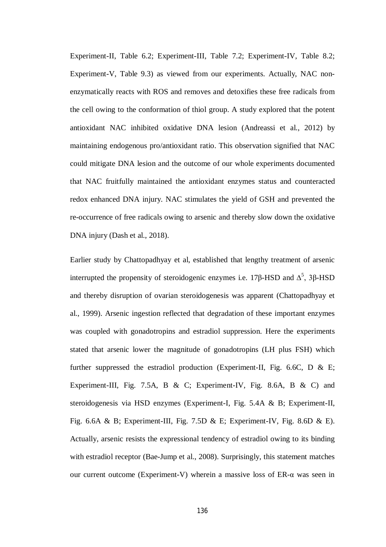Experiment-II, Table 6.2; Experiment-III, Table 7.2; Experiment-IV, Table 8.2; Experiment-V, Table 9.3) as viewed from our experiments. Actually, NAC nonenzymatically reacts with ROS and removes and detoxifies these free radicals from the cell owing to the conformation of thiol group. A study explored that the potent antioxidant NAC inhibited oxidative DNA lesion (Andreassi et al., 2012) by maintaining endogenous pro/antioxidant ratio. This observation signified that NAC could mitigate DNA lesion and the outcome of our whole experiments documented that NAC fruitfully maintained the antioxidant enzymes status and counteracted redox enhanced DNA injury. NAC stimulates the yield of GSH and prevented the re-occurrence of free radicals owing to arsenic and thereby slow down the oxidative DNA injury (Dash et al., 2018).

Earlier study by Chattopadhyay et al, established that lengthy treatment of arsenic interrupted the propensity of steroidogenic enzymes i.e. 17β-HSD and  $\Delta^5$ , 3β-HSD and thereby disruption of ovarian steroidogenesis was apparent (Chattopadhyay et al., 1999). Arsenic ingestion reflected that degradation of these important enzymes was coupled with gonadotropins and estradiol suppression. Here the experiments stated that arsenic lower the magnitude of gonadotropins (LH plus FSH) which further suppressed the estradiol production (Experiment-II, Fig. 6.6C, D & E; Experiment-III, Fig. 7.5A, B & C; Experiment-IV, Fig. 8.6A, B & C) and steroidogenesis via HSD enzymes (Experiment-I, Fig. 5.4A & B; Experiment-II, Fig. 6.6A & B; Experiment-III, Fig. 7.5D & E; Experiment-IV, Fig. 8.6D & E). Actually, arsenic resists the expressional tendency of estradiol owing to its binding with estradiol receptor (Bae-Jump et al., 2008). Surprisingly, this statement matches our current outcome (Experiment-V) wherein a massive loss of ER-α was seen in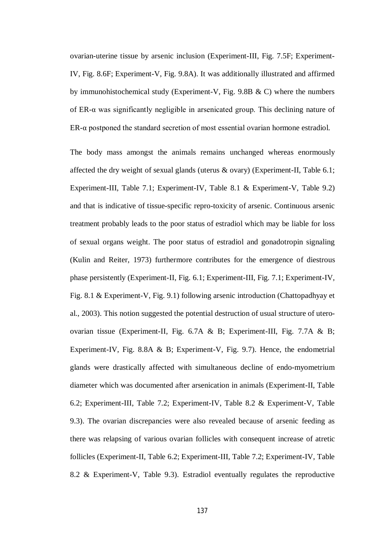ovarian-uterine tissue by arsenic inclusion (Experiment-III, Fig. 7.5F; Experiment-IV, Fig. 8.6F; Experiment-V, Fig. 9.8A). It was additionally illustrated and affirmed by immunohistochemical study (Experiment-V, Fig. 9.8B & C) where the numbers of ER-α was significantly negligible in arsenicated group. This declining nature of ER-α postponed the standard secretion of most essential ovarian hormone estradiol.

The body mass amongst the animals remains unchanged whereas enormously affected the dry weight of sexual glands (uterus & ovary) (Experiment-II, Table 6.1; Experiment-III, Table 7.1; Experiment-IV, Table 8.1 & Experiment-V, Table 9.2) and that is indicative of tissue-specific repro-toxicity of arsenic. Continuous arsenic treatment probably leads to the poor status of estradiol which may be liable for loss of sexual organs weight. The poor status of estradiol and gonadotropin signaling (Kulin and Reiter, 1973) furthermore contributes for the emergence of diestrous phase persistently (Experiment-II, Fig. 6.1; Experiment-III, Fig. 7.1; Experiment-IV, Fig. 8.1 & Experiment-V, Fig. 9.1) following arsenic introduction (Chattopadhyay et al., 2003). This notion suggested the potential destruction of usual structure of uteroovarian tissue (Experiment-II, Fig. 6.7A & B; Experiment-III, Fig. 7.7A & B; Experiment-IV, Fig. 8.8A & B; Experiment-V, Fig. 9.7). Hence, the endometrial glands were drastically affected with simultaneous decline of endo-myometrium diameter which was documented after arsenication in animals (Experiment-II, Table 6.2; Experiment-III, Table 7.2; Experiment-IV, Table 8.2 & Experiment-V, Table 9.3). The ovarian discrepancies were also revealed because of arsenic feeding as there was relapsing of various ovarian follicles with consequent increase of atretic follicles (Experiment-II, Table 6.2; Experiment-III, Table 7.2; Experiment-IV, Table 8.2 & Experiment-V, Table 9.3). Estradiol eventually regulates the reproductive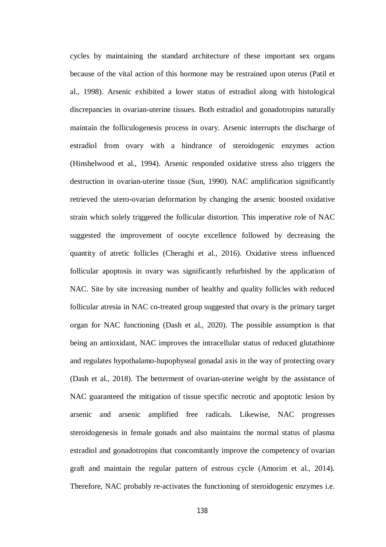cycles by maintaining the standard architecture of these important sex organs because of the vital action of this hormone may be restrained upon uterus (Patil et al., 1998). Arsenic exhibited a lower status of estradiol along with histological discrepancies in ovarian-uterine tissues. Both estradiol and gonadotropins naturally maintain the folliculogenesis process in ovary. Arsenic interrupts the discharge of estradiol from ovary with a hindrance of steroidogenic enzymes action (Hinshelwood et al., 1994). Arsenic responded oxidative stress also triggers the destruction in ovarian-uterine tissue (Sun, 1990). NAC amplification significantly retrieved the utero-ovarian deformation by changing the arsenic boosted oxidative strain which solely triggered the follicular distortion. This imperative role of NAC suggested the improvement of oocyte excellence followed by decreasing the quantity of atretic follicles (Cheraghi et al., 2016). Oxidative stress influenced follicular apoptosis in ovary was significantly refurbished by the application of NAC. Site by site increasing number of healthy and quality follicles with reduced follicular atresia in NAC co-treated group suggested that ovary is the primary target organ for NAC functioning (Dash et al., 2020). The possible assumption is that being an antioxidant, NAC improves the intracellular status of reduced glutathione and regulates hypothalamo-hupophyseal gonadal axis in the way of protecting ovary (Dash et al., 2018). The betterment of ovarian-uterine weight by the assistance of NAC guaranteed the mitigation of tissue specific necrotic and apoptotic lesion by arsenic and arsenic amplified free radicals. Likewise, NAC progresses steroidogenesis in female gonads and also maintains the normal status of plasma estradiol and gonadotropins that concomitantly improve the competency of ovarian graft and maintain the regular pattern of estrous cycle (Amorim et al., 2014). Therefore, NAC probably re-activates the functioning of steroidogenic enzymes i.e.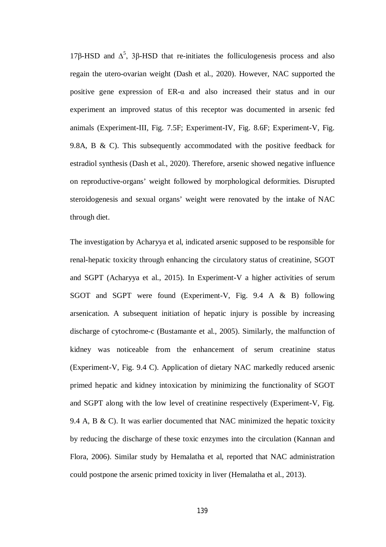17β-HSD and  $\Delta^5$ , 3β-HSD that re-initiates the folliculogenesis process and also regain the utero-ovarian weight (Dash et al., 2020). However, NAC supported the positive gene expression of ER-α and also increased their status and in our experiment an improved status of this receptor was documented in arsenic fed animals (Experiment-III, Fig. 7.5F; Experiment-IV, Fig. 8.6F; Experiment-V, Fig. 9.8A, B & C). This subsequently accommodated with the positive feedback for estradiol synthesis (Dash et al., 2020). Therefore, arsenic showed negative influence on reproductive-organs' weight followed by morphological deformities. Disrupted steroidogenesis and sexual organs' weight were renovated by the intake of NAC through diet.

The investigation by Acharyya et al, indicated arsenic supposed to be responsible for renal-hepatic toxicity through enhancing the circulatory status of creatinine, SGOT and SGPT (Acharyya et al., 2015). In Experiment-V a higher activities of serum SGOT and SGPT were found (Experiment-V, Fig. 9.4 A & B) following arsenication. A subsequent initiation of hepatic injury is possible by increasing discharge of cytochrome-c (Bustamante et al., 2005). Similarly, the malfunction of kidney was noticeable from the enhancement of serum creatinine status (Experiment-V, Fig. 9.4 C). Application of dietary NAC markedly reduced arsenic primed hepatic and kidney intoxication by minimizing the functionality of SGOT and SGPT along with the low level of creatinine respectively (Experiment-V, Fig. 9.4 A, B  $\&$  C). It was earlier documented that NAC minimized the hepatic toxicity by reducing the discharge of these toxic enzymes into the circulation (Kannan and Flora, 2006). Similar study by Hemalatha et al, reported that NAC administration could postpone the arsenic primed toxicity in liver (Hemalatha et al., 2013).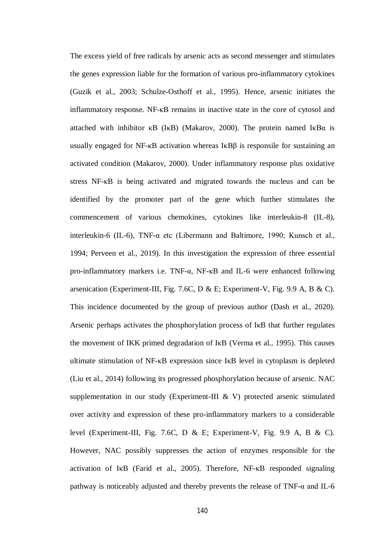The excess yield of free radicals by arsenic acts as second messenger and stimulates the genes expression liable for the formation of various pro-inflammatory cytokines (Guzik et al., 2003; Schulze-Osthoff et al., 1995). Hence, arsenic initiates the inflammatory response. NF-κB remains in inactive state in the core of cytosol and attached with inhibitor  $\kappa$ B (I $\kappa$ B) (Makarov, 2000). The protein named I $\kappa$ B $\alpha$  is usually engaged for NF-κB activation whereas IκBβ is responsile for sustaining an activated condition (Makarov, 2000). Under inflammatory response plus oxidative stress NF-κB is being activated and migrated towards the nucleus and can be identified by the promoter part of the gene which further stimulates the commencement of various chemokines, cytokines like interleukin-8 (IL-8), interleukin-6 (IL-6), TNF-α etc (Libermann and Baltimore, 1990; Kunsch et al., 1994; Perveen et al., 2019). In this investigation the expression of three essential pro-inflammatory markers i.e. TNF-α, NF-κB and IL-6 were enhanced following arsenication (Experiment-III, Fig. 7.6C, D & E; Experiment-V, Fig. 9.9 A, B & C). This incidence documented by the group of previous author (Dash et al., 2020). Arsenic perhaps activates the phosphorylation process of IκB that further regulates the movement of IKK primed degradation of IκB (Verma et al., 1995). This causes ultimate stimulation of NF-κB expression since IκB level in cytoplasm is depleted (Liu et al., 2014) following its progressed phosphorylation because of arsenic. NAC supplementation in our study (Experiment-III & V) protected arsenic stimulated over activity and expression of these pro-inflammatory markers to a considerable level (Experiment-III, Fig. 7.6C, D & E; Experiment-V, Fig. 9.9 A, B & C). However, NAC possibly suppresses the action of enzymes responsible for the activation of IκB (Farid et al., 2005). Therefore, NF-κB responded signaling pathway is noticeably adjusted and thereby prevents the release of TNF- $\alpha$  and IL-6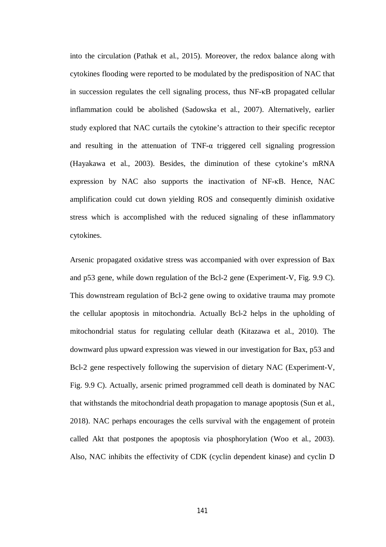into the circulation (Pathak et al., 2015). Moreover, the redox balance along with cytokines flooding were reported to be modulated by the predisposition of NAC that in succession regulates the cell signaling process, thus NF-κB propagated cellular inflammation could be abolished (Sadowska et al., 2007). Alternatively, earlier study explored that NAC curtails the cytokine's attraction to their specific receptor and resulting in the attenuation of TNF-α triggered cell signaling progression (Hayakawa et al., 2003). Besides, the diminution of these cytokine's mRNA expression by NAC also supports the inactivation of NF-κB. Hence, NAC amplification could cut down yielding ROS and consequently diminish oxidative stress which is accomplished with the reduced signaling of these inflammatory cytokines.

Arsenic propagated oxidative stress was accompanied with over expression of Bax and p53 gene, while down regulation of the Bcl-2 gene (Experiment-V, Fig. 9.9 C). This downstream regulation of Bcl-2 gene owing to oxidative trauma may promote the cellular apoptosis in mitochondria. Actually Bcl-2 helps in the upholding of mitochondrial status for regulating cellular death (Kitazawa et al., 2010). The downward plus upward expression was viewed in our investigation for Bax, p53 and Bcl-2 gene respectively following the supervision of dietary NAC (Experiment-V, Fig. 9.9 C). Actually, arsenic primed programmed cell death is dominated by NAC that withstands the mitochondrial death propagation to manage apoptosis (Sun et al., 2018). NAC perhaps encourages the cells survival with the engagement of protein called Akt that postpones the apoptosis via phosphorylation (Woo et al., 2003). Also, NAC inhibits the effectivity of CDK (cyclin dependent kinase) and cyclin D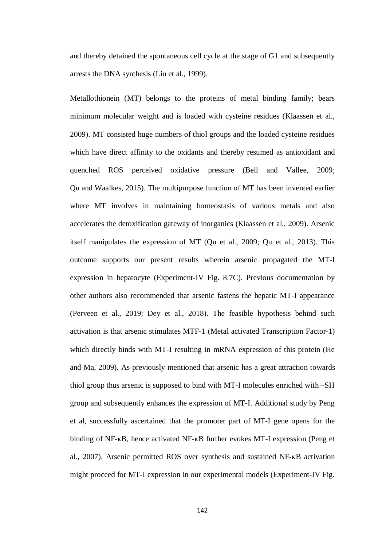and thereby detained the spontaneous cell cycle at the stage of G1 and subsequently arrests the DNA synthesis (Liu et al., 1999).

Metallothionein (MT) belongs to the proteins of metal binding family; bears minimum molecular weight and is loaded with cysteine residues (Klaassen et al., 2009). MT consisted huge numbers of thiol groups and the loaded cysteine residues which have direct affinity to the oxidants and thereby resumed as antioxidant and quenched ROS perceived oxidative pressure (Bell and Vallee, 2009; Qu and Waalkes, 2015). The multipurpose function of MT has been invented earlier where MT involves in maintaining homeostasis of various metals and also accelerates the detoxification gateway of inorganics (Klaassen et al., 2009). Arsenic itself manipulates the expression of MT (Qu et al., 2009; Qu et al., 2013). This outcome supports our present results wherein arsenic propagated the MT-I expression in hepatocyte (Experiment-IV Fig. 8.7C). Previous documentation by other authors also recommended that arsenic fastens the hepatic MT-I appearance (Perveen et al., 2019; Dey et al., 2018). The feasible hypothesis behind such activation is that arsenic stimulates MTF-1 (Metal activated Transcription Factor-1) which directly binds with MT-I resulting in mRNA expression of this protein (He and Ma, 2009). As previously mentioned that arsenic has a great attraction towards thiol group thus arsenic is supposed to bind with MT-I molecules enriched with –SH group and subsequently enhances the expression of MT-I. Additional study by Peng et al, successfully ascertained that the promoter part of MT-I gene opens for the binding of NF-κB, hence activated NF-κB further evokes MT-I expression (Peng et al., 2007). Arsenic permitted ROS over synthesis and sustained NF-κB activation might proceed for MT-I expression in our experimental models (Experiment-IV Fig.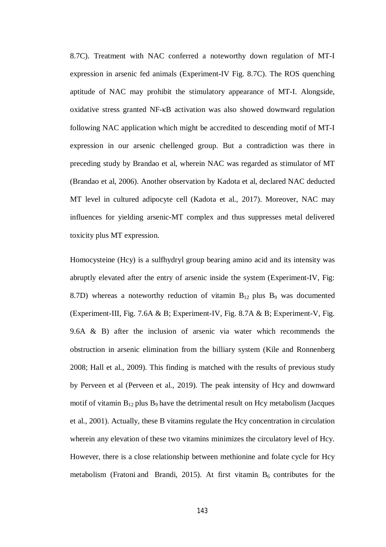8.7C). Treatment with NAC conferred a noteworthy down regulation of MT-I expression in arsenic fed animals (Experiment-IV Fig. 8.7C). The ROS quenching aptitude of NAC may prohibit the stimulatory appearance of MT-I. Alongside, oxidative stress granted NF-κB activation was also showed downward regulation following NAC application which might be accredited to descending motif of MT-I expression in our arsenic chellenged group. But a contradiction was there in preceding study by Brandao et al, wherein NAC was regarded as stimulator of MT (Brandao et al, 2006). Another observation by Kadota et al, declared NAC deducted MT level in cultured adipocyte cell (Kadota et al., 2017). Moreover, NAC may influences for yielding arsenic-MT complex and thus suppresses metal delivered toxicity plus MT expression.

Homocysteine (Hcy) is a sulfhydryl group bearing amino acid and its intensity was abruptly elevated after the entry of arsenic inside the system (Experiment-IV, Fig: 8.7D) whereas a noteworthy reduction of vitamin  $B_{12}$  plus  $B_9$  was documented (Experiment-III, Fig. 7.6A & B; Experiment-IV, Fig. 8.7A & B; Experiment-V, Fig. 9.6A & B) after the inclusion of arsenic via water which recommends the obstruction in arsenic elimination from the billiary system (Kile and Ronnenberg 2008; Hall et al., 2009). This finding is matched with the results of previous study by Perveen et al (Perveen et al., 2019). The peak intensity of Hcy and downward motif of vitamin  $B_{12}$  plus  $B_9$  have the detrimental result on Hcy metabolism (Jacques et al., 2001). Actually, these B vitamins regulate the Hcy concentration in circulation wherein any elevation of these two vitamins minimizes the circulatory level of Hcy. However, there is a close relationship between methionine and folate cycle for Hcy metabolism (Fratoni and Brandi, 2015). At first vitamin  $B_6$  contributes for the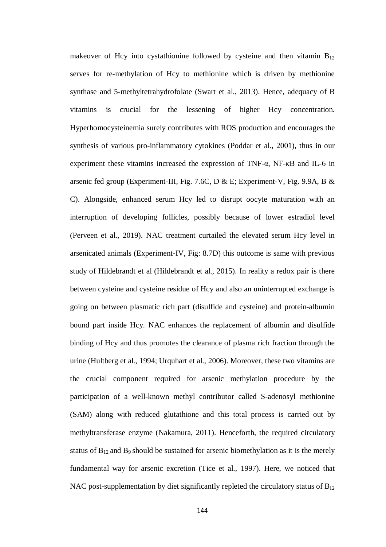makeover of Hcy into cystathionine followed by cysteine and then vitamin  $B_{12}$ serves for re-methylation of Hcy to methionine which is driven by methionine synthase and 5-methyltetrahydrofolate (Swart et al., 2013). Hence, adequacy of B vitamins is crucial for the lessening of higher Hcy concentration. Hyperhomocysteinemia surely contributes with ROS production and encourages the synthesis of various pro-inflammatory cytokines (Poddar et al., 2001), thus in our experiment these vitamins increased the expression of TNF-α, NF-κB and IL-6 in arsenic fed group (Experiment-III, Fig. 7.6C, D & E; Experiment-V, Fig. 9.9A, B & C). Alongside, enhanced serum Hcy led to disrupt oocyte maturation with an interruption of developing follicles, possibly because of lower estradiol level (Perveen et al., 2019). NAC treatment curtailed the elevated serum Hcy level in arsenicated animals (Experiment-IV, Fig: 8.7D) this outcome is same with previous study of Hildebrandt et al (Hildebrandt et al., 2015). In reality a redox pair is there between cysteine and cysteine residue of Hcy and also an uninterrupted exchange is going on between plasmatic rich part (disulfide and cysteine) and protein-albumin bound part inside Hcy. NAC enhances the replacement of albumin and disulfide binding of Hcy and thus promotes the clearance of plasma rich fraction through the urine (Hultberg et al., 1994; Urquhart et al., 2006). Moreover, these two vitamins are the crucial component required for arsenic methylation procedure by the participation of a well-known methyl contributor called S-adenosyl methionine (SAM) along with reduced glutathione and this total process is carried out by methyltransferase enzyme (Nakamura, 2011). Henceforth, the required circulatory status of  $B_{12}$  and  $B_9$  should be sustained for arsenic biomethylation as it is the merely fundamental way for arsenic excretion (Tice et al., 1997). Here, we noticed that NAC post-supplementation by diet significantly repleted the circulatory status of  $B_{12}$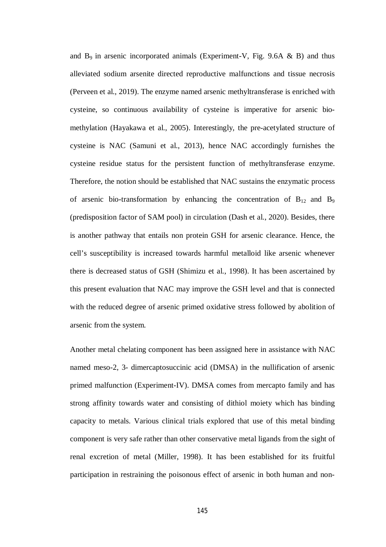and  $B_9$  in arsenic incorporated animals (Experiment-V, Fig. 9.6A & B) and thus alleviated sodium arsenite directed reproductive malfunctions and tissue necrosis (Perveen et al., 2019). The enzyme named arsenic methyltransferase is enriched with cysteine, so continuous availability of cysteine is imperative for arsenic biomethylation (Hayakawa et al., 2005). Interestingly, the pre-acetylated structure of cysteine is NAC (Samuni et al., 2013), hence NAC accordingly furnishes the cysteine residue status for the persistent function of methyltransferase enzyme. Therefore, the notion should be established that NAC sustains the enzymatic process of arsenic bio-transformation by enhancing the concentration of  $B_{12}$  and  $B_9$ (predisposition factor of SAM pool) in circulation (Dash et al., 2020). Besides, there is another pathway that entails non protein GSH for arsenic clearance. Hence, the cell's susceptibility is increased towards harmful metalloid like arsenic whenever there is decreased status of GSH (Shimizu et al., 1998). It has been ascertained by this present evaluation that NAC may improve the GSH level and that is connected with the reduced degree of arsenic primed oxidative stress followed by abolition of arsenic from the system.

Another metal chelating component has been assigned here in assistance with NAC named meso-2, 3- dimercaptosuccinic acid (DMSA) in the nullification of arsenic primed malfunction (Experiment-IV). DMSA comes from mercapto family and has strong affinity towards water and consisting of dithiol moiety which has binding capacity to metals. Various clinical trials explored that use of this metal binding component is very safe rather than other conservative metal ligands from the sight of renal excretion of metal (Miller, 1998). It has been established for its fruitful participation in restraining the poisonous effect of arsenic in both human and non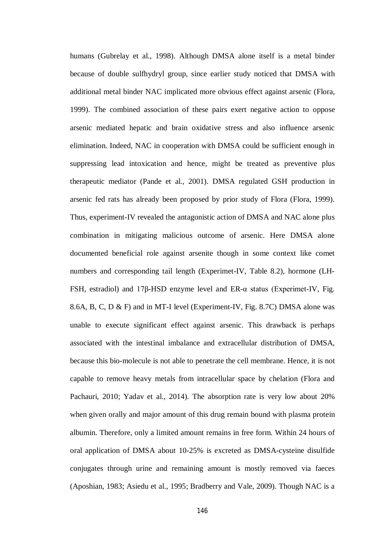humans (Gubrelay et al., 1998). Although DMSA alone itself is a metal binder because of double sulfhydryl group, since earlier study noticed that DMSA with additional metal binder NAC implicated more obvious effect against arsenic (Flora, 1999). The combined association of these pairs exert negative action to oppose arsenic mediated hepatic and brain oxidative stress and also influence arsenic elimination. Indeed, NAC in cooperation with DMSA could be sufficient enough in suppressing lead intoxication and hence, might be treated as preventive plus therapeutic mediator (Pande et al., 2001). DMSA regulated GSH production in arsenic fed rats has already been proposed by prior study of Flora (Flora, 1999). Thus, experiment-IV revealed the antagonistic action of DMSA and NAC alone plus combination in mitigating malicious outcome of arsenic. Here DMSA alone documented beneficial role against arsenite though in some context like comet numbers and corresponding tail length (Experimet-IV, Table 8.2), hormone (LH-FSH, estradiol) and 17β-HSD enzyme level and ER-α status (Experimet-IV, Fig. 8.6A, B, C, D & F) and in MT-I level (Experiment-IV, Fig. 8.7C) DMSA alone was unable to execute significant effect against arsenic. This drawback is perhaps associated with the intestinal imbalance and extracellular distribution of DMSA, because this bio-molecule is not able to penetrate the cell membrane. Hence, it is not capable to remove heavy metals from intracellular space by chelation (Flora and Pachauri, 2010; Yadav et al., 2014). The absorption rate is very low about 20% when given orally and major amount of this drug remain bound with plasma protein albumin. Therefore, only a limited amount remains in free form. Within 24 hours of oral application of DMSA about 10-25% is excreted as DMSA-cysteine disulfide conjugates through urine and remaining amount is mostly removed via faeces (Aposhian, 1983; Asiedu et al., 1995; Bradberry and Vale, 2009). Though NAC is a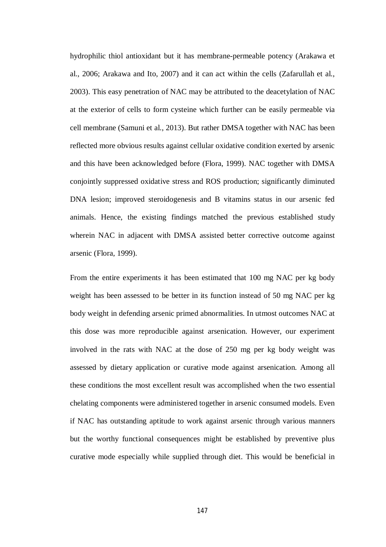hydrophilic thiol antioxidant but it has membrane-permeable potency (Arakawa et al., 2006; Arakawa and Ito, 2007) and it can act within the cells (Zafarullah et al., 2003). This easy penetration of NAC may be attributed to the deacetylation of NAC at the exterior of cells to form cysteine which further can be easily permeable via cell membrane (Samuni et al., 2013). But rather DMSA together with NAC has been reflected more obvious results against cellular oxidative condition exerted by arsenic and this have been acknowledged before (Flora, 1999). NAC together with DMSA conjointly suppressed oxidative stress and ROS production; significantly diminuted DNA lesion; improved steroidogenesis and B vitamins status in our arsenic fed animals. Hence, the existing findings matched the previous established study wherein NAC in adjacent with DMSA assisted better corrective outcome against arsenic (Flora, 1999).

From the entire experiments it has been estimated that 100 mg NAC per kg body weight has been assessed to be better in its function instead of 50 mg NAC per kg body weight in defending arsenic primed abnormalities. In utmost outcomes NAC at this dose was more reproducible against arsenication. However, our experiment involved in the rats with NAC at the dose of 250 mg per kg body weight was assessed by dietary application or curative mode against arsenication. Among all these conditions the most excellent result was accomplished when the two essential chelating components were administered together in arsenic consumed models. Even if NAC has outstanding aptitude to work against arsenic through various manners but the worthy functional consequences might be established by preventive plus curative mode especially while supplied through diet. This would be beneficial in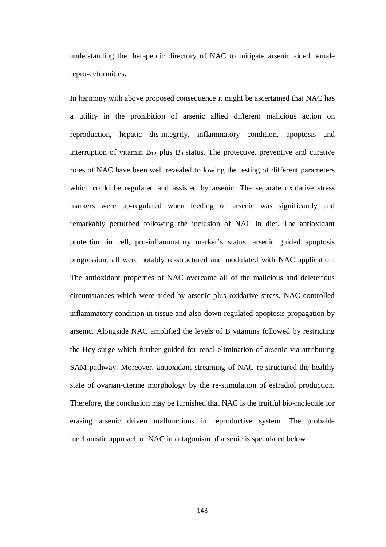understanding the therapeutic directory of NAC to mitigate arsenic aided female repro-deformities.

In harmony with above proposed consequence it might be ascertained that NAC has a utility in the prohibition of arsenic allied different malicious action on reproduction, hepatic dis-integrity, inflammatory condition, apoptosis and interruption of vitamin  $B_{12}$  plus  $B_9$  status. The protective, preventive and curative roles of NAC have been well revealed following the testing of different parameters which could be regulated and assisted by arsenic. The separate oxidative stress markers were up-regulated when feeding of arsenic was significantly and remarkably perturbed following the inclusion of NAC in diet. The antioxidant protection in cell, pro-inflammatory marker's status, arsenic guided apoptosis progression, all were notably re-structured and modulated with NAC application. The antioxidant properties of NAC overcame all of the malicious and deleterious circumstances which were aided by arsenic plus oxidative stress. NAC controlled inflammatory condition in tissue and also down-regulated apoptosis propagation by arsenic. Alongside NAC amplified the levels of B vitamins followed by restricting the Hcy surge which further guided for renal elimination of arsenic via attributing SAM pathway. Moreover, antioxidant streaming of NAC re-structured the healthy state of ovarian-uterine morphology by the re-stimulation of estradiol production. Therefore, the conclusion may be furnished that NAC is the fruitful bio-molecule for erasing arsenic driven malfunctions in reproductive system. The probable mechanistic approach of NAC in antagonism of arsenic is speculated below: